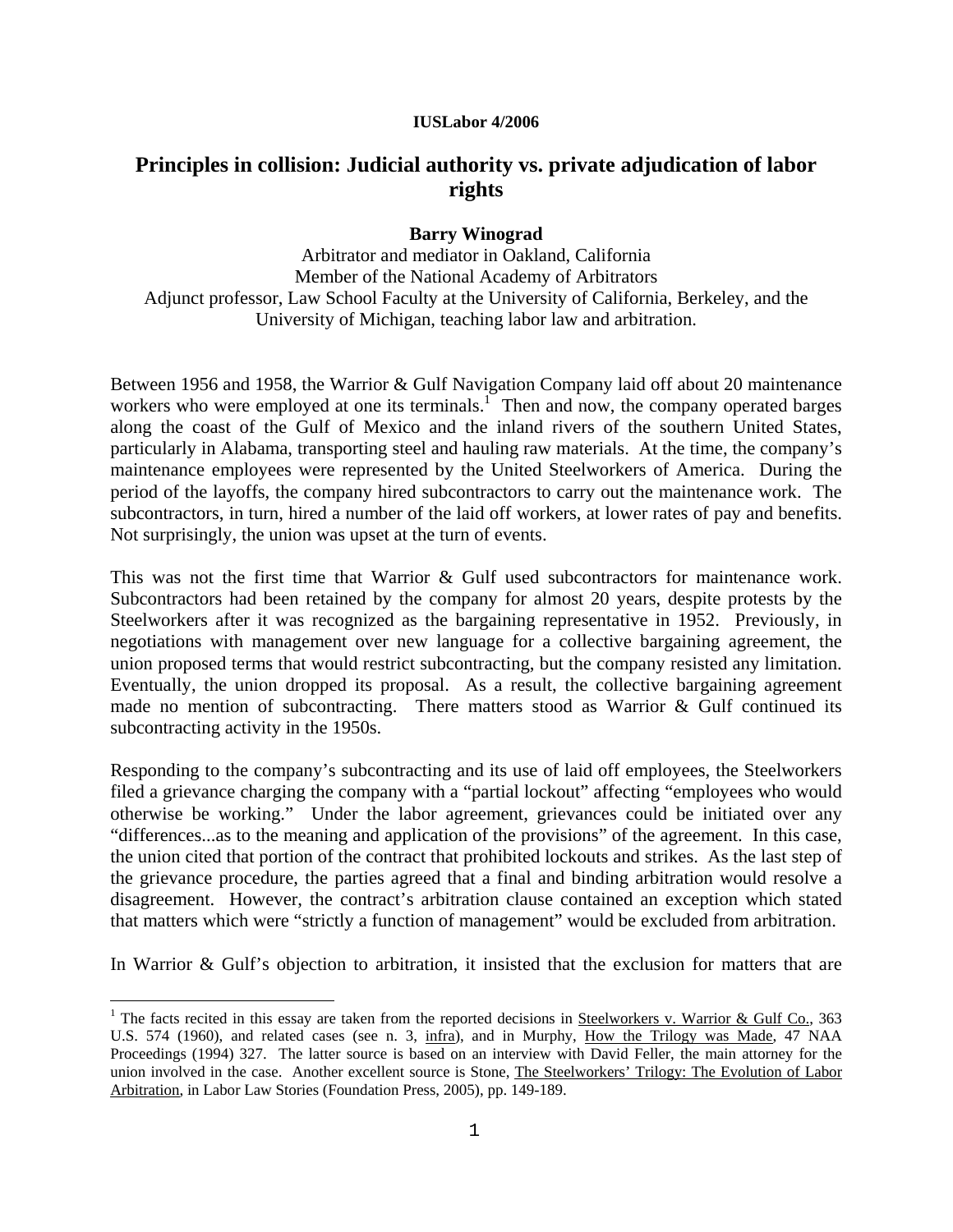## **IUSLabor 4/2006**

# **Principles in collision: Judicial authority vs. private adjudication of labor rights**

## **Barry Winograd**

Arbitrator and mediator in Oakland, California Member of the National Academy of Arbitrators Adjunct professor, Law School Faculty at the University of California, Berkeley, and the University of Michigan, teaching labor law and arbitration.

Between 1956 and 1958, the Warrior & Gulf Navigation Company laid off about 20 maintenance workers who were employed at one its terminals.<sup>1</sup> Then and now, the company operated barges along the coast of the Gulf of Mexico and the inland rivers of the southern United States, particularly in Alabama, transporting steel and hauling raw materials. At the time, the company's maintenance employees were represented by the United Steelworkers of America. During the period of the layoffs, the company hired subcontractors to carry out the maintenance work. The subcontractors, in turn, hired a number of the laid off workers, at lower rates of pay and benefits. Not surprisingly, the union was upset at the turn of events.

This was not the first time that Warrior & Gulf used subcontractors for maintenance work. Subcontractors had been retained by the company for almost 20 years, despite protests by the Steelworkers after it was recognized as the bargaining representative in 1952. Previously, in negotiations with management over new language for a collective bargaining agreement, the union proposed terms that would restrict subcontracting, but the company resisted any limitation. Eventually, the union dropped its proposal. As a result, the collective bargaining agreement made no mention of subcontracting. There matters stood as Warrior & Gulf continued its subcontracting activity in the 1950s.

Responding to the company's subcontracting and its use of laid off employees, the Steelworkers filed a grievance charging the company with a "partial lockout" affecting "employees who would otherwise be working." Under the labor agreement, grievances could be initiated over any "differences...as to the meaning and application of the provisions" of the agreement. In this case, the union cited that portion of the contract that prohibited lockouts and strikes. As the last step of the grievance procedure, the parties agreed that a final and binding arbitration would resolve a disagreement. However, the contract's arbitration clause contained an exception which stated that matters which were "strictly a function of management" would be excluded from arbitration.

In Warrior & Gulf's objection to arbitration, it insisted that the exclusion for matters that are

<sup>&</sup>lt;sup>1</sup> The facts recited in this essay are taken from the reported decisions in Steelworkers v. Warrior & Gulf Co., 363 U.S. 574 (1960), and related cases (see n. 3, infra), and in Murphy, How the Trilogy was Made, 47 NAA Proceedings (1994) 327. The latter source is based on an interview with David Feller, the main attorney for the union involved in the case. Another excellent source is Stone, The Steelworkers' Trilogy: The Evolution of Labor Arbitration, in Labor Law Stories (Foundation Press, 2005), pp. 149-189.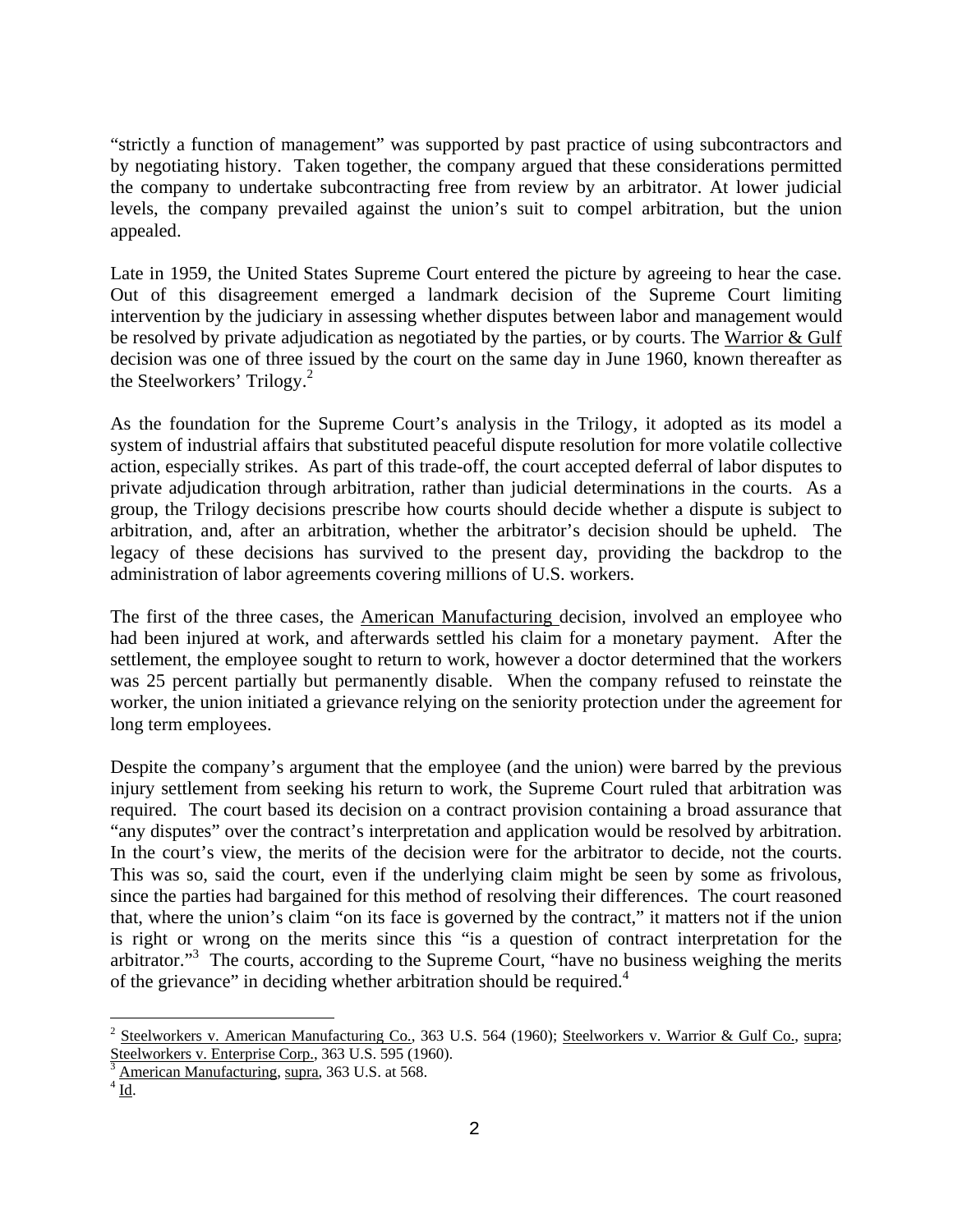"strictly a function of management" was supported by past practice of using subcontractors and by negotiating history. Taken together, the company argued that these considerations permitted the company to undertake subcontracting free from review by an arbitrator. At lower judicial levels, the company prevailed against the union's suit to compel arbitration, but the union appealed.

Late in 1959, the United States Supreme Court entered the picture by agreeing to hear the case. Out of this disagreement emerged a landmark decision of the Supreme Court limiting intervention by the judiciary in assessing whether disputes between labor and management would be resolved by private adjudication as negotiated by the parties, or by courts. The Warrior & Gulf decision was one of three issued by the court on the same day in June 1960, known thereafter as the Steelworkers' Trilogy. $^{2}$ 

As the foundation for the Supreme Court's analysis in the Trilogy, it adopted as its model a system of industrial affairs that substituted peaceful dispute resolution for more volatile collective action, especially strikes. As part of this trade-off, the court accepted deferral of labor disputes to private adjudication through arbitration, rather than judicial determinations in the courts. As a group, the Trilogy decisions prescribe how courts should decide whether a dispute is subject to arbitration, and, after an arbitration, whether the arbitrator's decision should be upheld. The legacy of these decisions has survived to the present day, providing the backdrop to the administration of labor agreements covering millions of U.S. workers.

The first of the three cases, the American Manufacturing decision, involved an employee who had been injured at work, and afterwards settled his claim for a monetary payment. After the settlement, the employee sought to return to work, however a doctor determined that the workers was 25 percent partially but permanently disable. When the company refused to reinstate the worker, the union initiated a grievance relying on the seniority protection under the agreement for long term employees.

Despite the company's argument that the employee (and the union) were barred by the previous injury settlement from seeking his return to work, the Supreme Court ruled that arbitration was required. The court based its decision on a contract provision containing a broad assurance that "any disputes" over the contract's interpretation and application would be resolved by arbitration. In the court's view, the merits of the decision were for the arbitrator to decide, not the courts. This was so, said the court, even if the underlying claim might be seen by some as frivolous, since the parties had bargained for this method of resolving their differences. The court reasoned that, where the union's claim "on its face is governed by the contract," it matters not if the union is right or wrong on the merits since this "is a question of contract interpretation for the arbitrator."<sup>3</sup> The courts, according to the Supreme Court, "have no business weighing the merits of the grievance" in deciding whether arbitration should be required.<sup>4</sup>

<sup>&</sup>lt;sup>2</sup> Steelworkers v. American Manufacturing Co., 363 U.S. 564 (1960); Steelworkers v. Warrior & Gulf Co., supra; Steelworkers v. Enterprise Corp., 363 U.S. 595 (1960).

American Manufacturing, supra, 363 U.S. at 568. 4

 $4\overline{\mathrm{Id}}$ .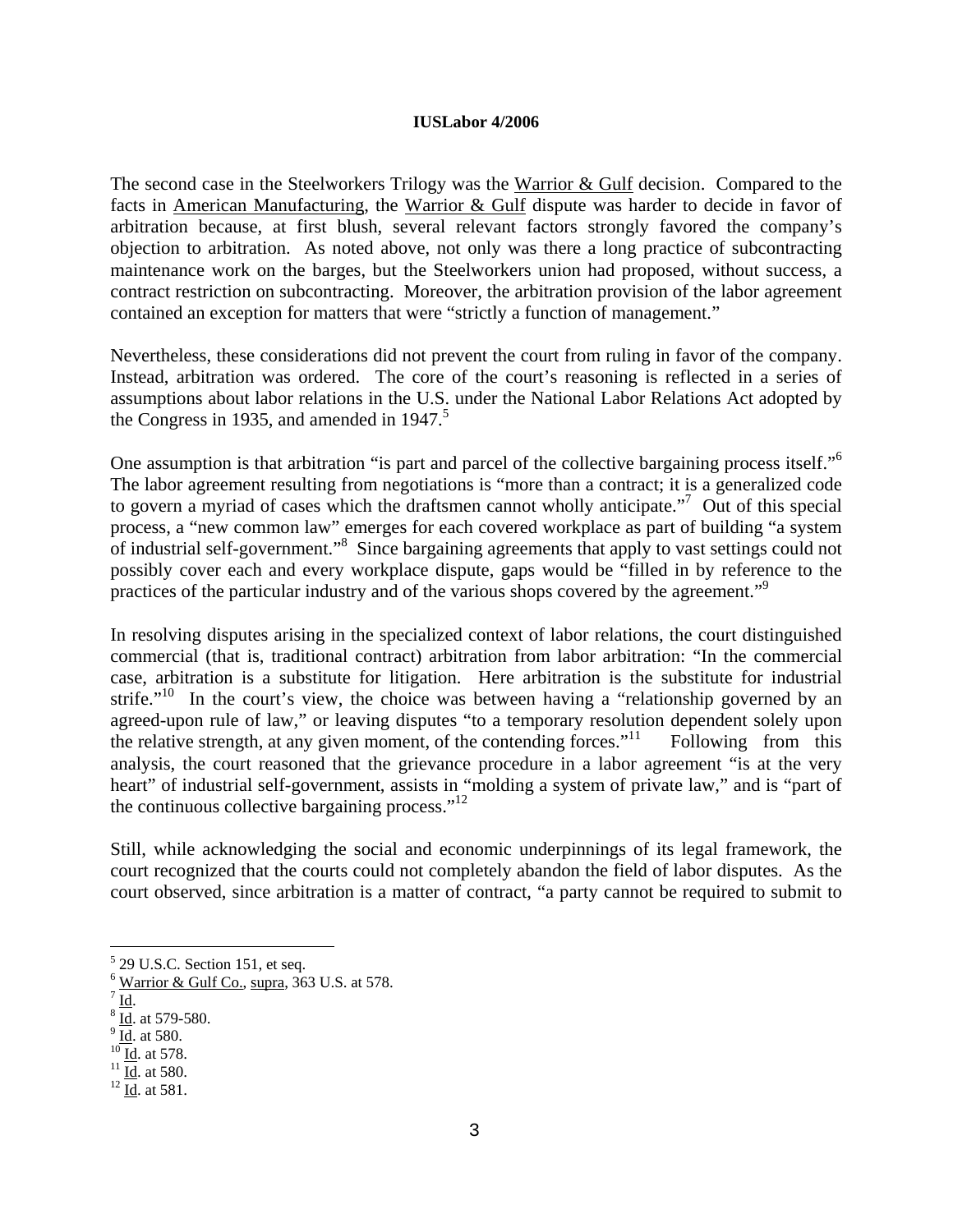#### **IUSLabor 4/2006**

The second case in the Steelworkers Trilogy was the Warrior & Gulf decision. Compared to the facts in American Manufacturing, the Warrior & Gulf dispute was harder to decide in favor of arbitration because, at first blush, several relevant factors strongly favored the company's objection to arbitration. As noted above, not only was there a long practice of subcontracting maintenance work on the barges, but the Steelworkers union had proposed, without success, a contract restriction on subcontracting. Moreover, the arbitration provision of the labor agreement contained an exception for matters that were "strictly a function of management."

Nevertheless, these considerations did not prevent the court from ruling in favor of the company. Instead, arbitration was ordered. The core of the court's reasoning is reflected in a series of assumptions about labor relations in the U.S. under the National Labor Relations Act adopted by the Congress in 1935, and amended in 1947.<sup>5</sup>

One assumption is that arbitration "is part and parcel of the collective bargaining process itself."<sup>6</sup> The labor agreement resulting from negotiations is "more than a contract; it is a generalized code to govern a myriad of cases which the draftsmen cannot wholly anticipate."<sup>7</sup> Out of this special process, a "new common law" emerges for each covered workplace as part of building "a system of industrial self-government."<sup>8</sup> Since bargaining agreements that apply to vast settings could not possibly cover each and every workplace dispute, gaps would be "filled in by reference to the practices of the particular industry and of the various shops covered by the agreement."<sup>9</sup>

In resolving disputes arising in the specialized context of labor relations, the court distinguished commercial (that is, traditional contract) arbitration from labor arbitration: "In the commercial case, arbitration is a substitute for litigation. Here arbitration is the substitute for industrial strife."<sup>10</sup> In the court's view, the choice was between having a "relationship governed by an agreed-upon rule of law," or leaving disputes "to a temporary resolution dependent solely upon the relative strength, at any given moment, of the contending forces." $11$  Following from this analysis, the court reasoned that the grievance procedure in a labor agreement "is at the very heart" of industrial self-government, assists in "molding a system of private law," and is "part of the continuous collective bargaining process."<sup>12</sup>

Still, while acknowledging the social and economic underpinnings of its legal framework, the court recognized that the courts could not completely abandon the field of labor disputes. As the court observed, since arbitration is a matter of contract, "a party cannot be required to submit to

<sup>&</sup>lt;sup>5</sup> 29 U.S.C. Section 151, et seq.

 $\frac{6}{7}$  Warrior & Gulf Co., supra, 363 U.S. at 578.

 $\frac{7}{8}$  Id.

 $\frac{10}{9}$  Id. at 579-580.

 $\frac{10}{10}$  Id. at 580.<br>  $\frac{10}{11}$  Id. at 580.<br>  $\frac{12}{11}$  Id. at 581.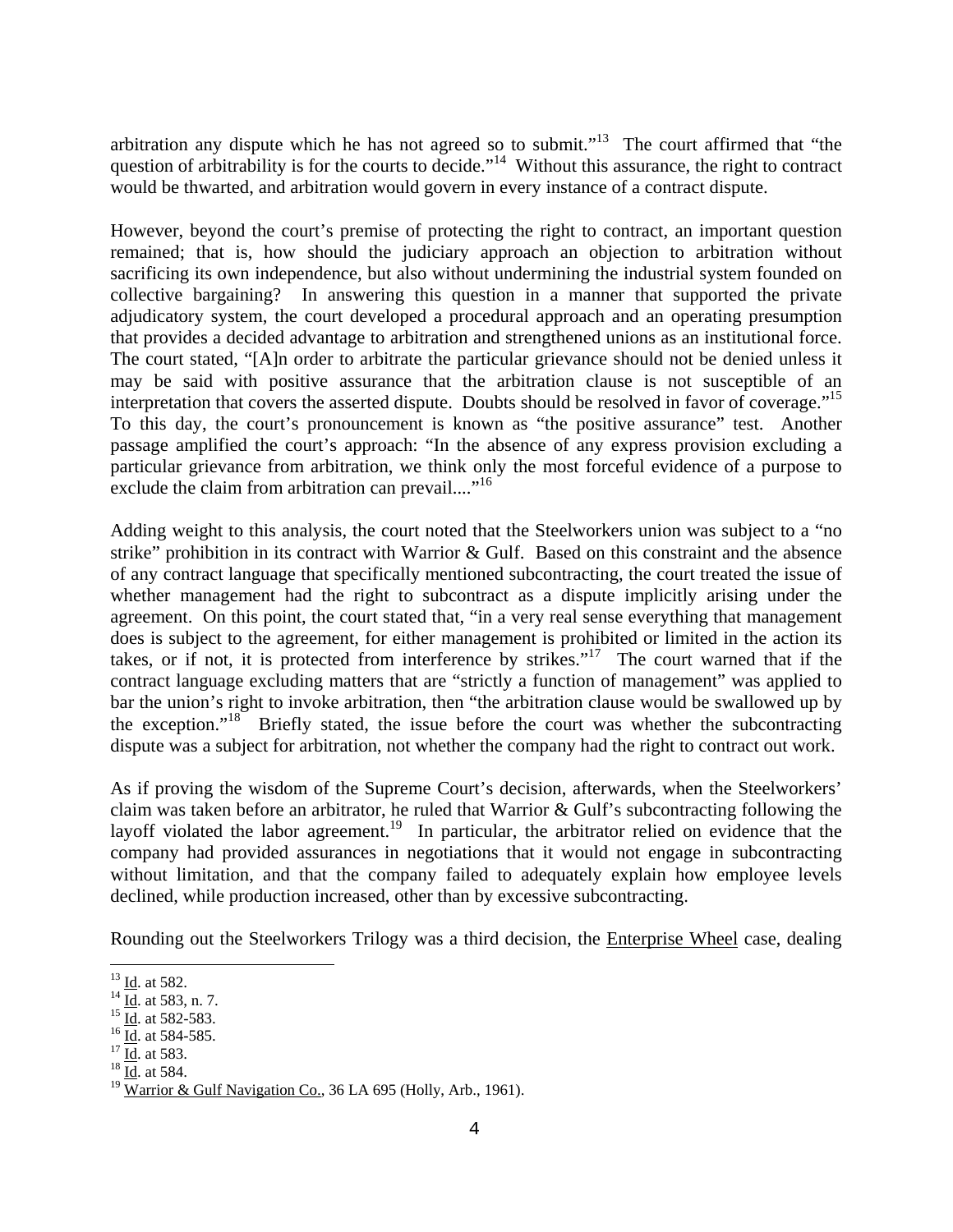arbitration any dispute which he has not agreed so to submit."<sup>13</sup> The court affirmed that "the question of arbitrability is for the courts to decide."<sup>14</sup> Without this assurance, the right to contract would be thwarted, and arbitration would govern in every instance of a contract dispute.

However, beyond the court's premise of protecting the right to contract, an important question remained; that is, how should the judiciary approach an objection to arbitration without sacrificing its own independence, but also without undermining the industrial system founded on collective bargaining? In answering this question in a manner that supported the private adjudicatory system, the court developed a procedural approach and an operating presumption that provides a decided advantage to arbitration and strengthened unions as an institutional force. The court stated, "[A]n order to arbitrate the particular grievance should not be denied unless it may be said with positive assurance that the arbitration clause is not susceptible of an interpretation that covers the asserted dispute. Doubts should be resolved in favor of coverage."<sup>15</sup> To this day, the court's pronouncement is known as "the positive assurance" test. Another passage amplified the court's approach: "In the absence of any express provision excluding a particular grievance from arbitration, we think only the most forceful evidence of a purpose to exclude the claim from arbitration can prevail...."<sup>16</sup>

Adding weight to this analysis, the court noted that the Steelworkers union was subject to a "no strike" prohibition in its contract with Warrior & Gulf. Based on this constraint and the absence of any contract language that specifically mentioned subcontracting, the court treated the issue of whether management had the right to subcontract as a dispute implicitly arising under the agreement. On this point, the court stated that, "in a very real sense everything that management does is subject to the agreement, for either management is prohibited or limited in the action its takes, or if not, it is protected from interference by strikes."<sup>17</sup> The court warned that if the contract language excluding matters that are "strictly a function of management" was applied to bar the union's right to invoke arbitration, then "the arbitration clause would be swallowed up by the exception."<sup>18</sup> Briefly stated, the issue before the court was whether the subcontracting dispute was a subject for arbitration, not whether the company had the right to contract out work.

As if proving the wisdom of the Supreme Court's decision, afterwards, when the Steelworkers' claim was taken before an arbitrator, he ruled that Warrior & Gulf's subcontracting following the layoff violated the labor agreement.<sup>19</sup> In particular, the arbitrator relied on evidence that the company had provided assurances in negotiations that it would not engage in subcontracting without limitation, and that the company failed to adequately explain how employee levels declined, while production increased, other than by excessive subcontracting.

Rounding out the Steelworkers Trilogy was a third decision, the Enterprise Wheel case, dealing

 $13$  Id. at 582.

<sup>&</sup>lt;sup>14</sup>  $\frac{Id}{Id}$ . at 583, n. 7.<br><sup>15</sup>  $\frac{Id}{Id}$ . at 582-583.<br><sup>16</sup>  $\frac{Id}{Id}$ . at 584-585.<br><sup>17</sup>  $\frac{Id}{Id}$ . at 583.<br><sup>18</sup> Id. at 584.

 $^{19}$  Warrior & Gulf Navigation Co., 36 LA 695 (Holly, Arb., 1961).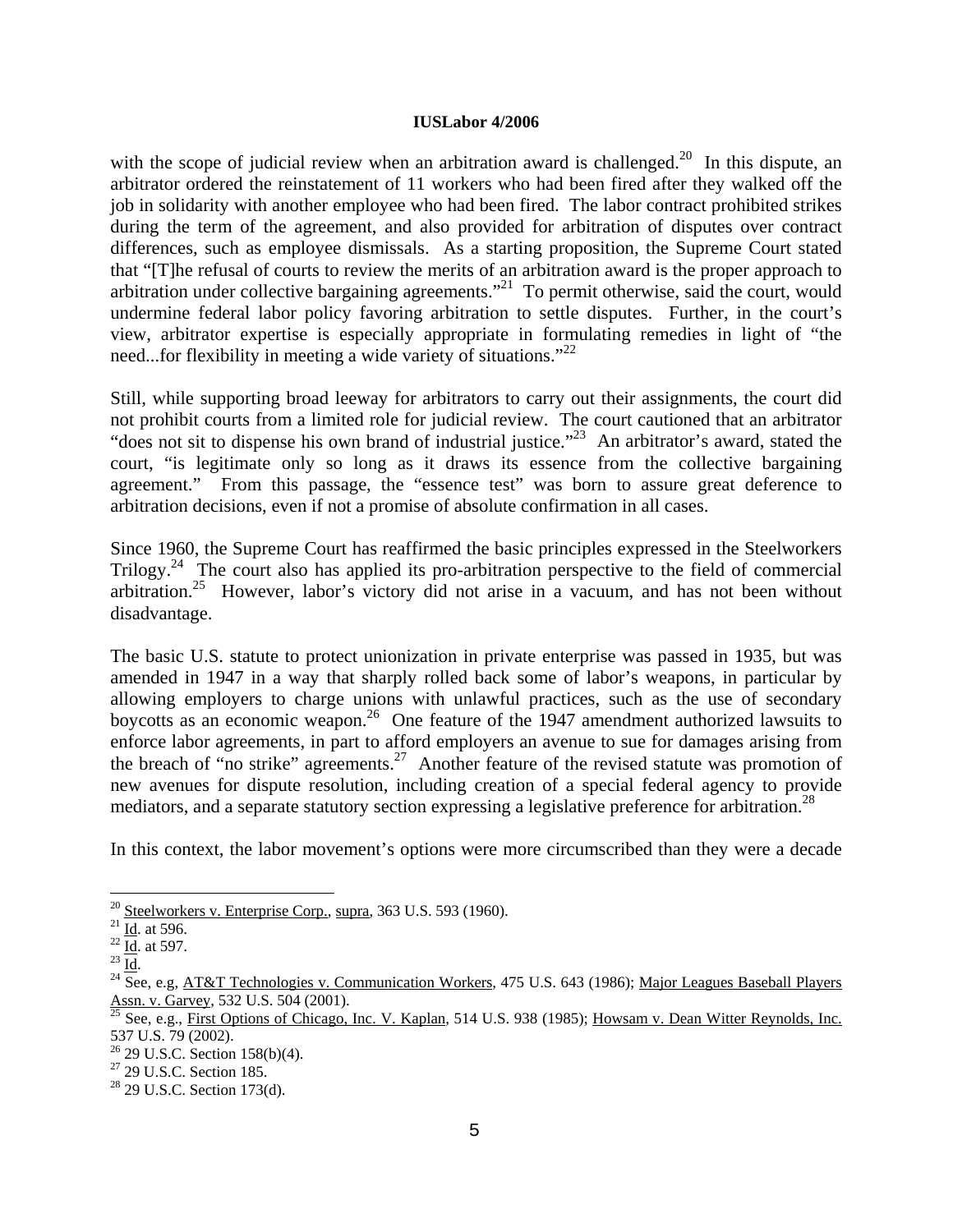#### **IUSLabor 4/2006**

with the scope of judicial review when an arbitration award is challenged.<sup>20</sup> In this dispute, an arbitrator ordered the reinstatement of 11 workers who had been fired after they walked off the job in solidarity with another employee who had been fired. The labor contract prohibited strikes during the term of the agreement, and also provided for arbitration of disputes over contract differences, such as employee dismissals. As a starting proposition, the Supreme Court stated that "[T]he refusal of courts to review the merits of an arbitration award is the proper approach to arbitration under collective bargaining agreements."21 To permit otherwise, said the court, would undermine federal labor policy favoring arbitration to settle disputes. Further, in the court's view, arbitrator expertise is especially appropriate in formulating remedies in light of "the need...for flexibility in meeting a wide variety of situations."<sup>22</sup>

Still, while supporting broad leeway for arbitrators to carry out their assignments, the court did not prohibit courts from a limited role for judicial review. The court cautioned that an arbitrator "does not sit to dispense his own brand of industrial justice."23 An arbitrator's award, stated the court, "is legitimate only so long as it draws its essence from the collective bargaining agreement." From this passage, the "essence test" was born to assure great deference to arbitration decisions, even if not a promise of absolute confirmation in all cases.

Since 1960, the Supreme Court has reaffirmed the basic principles expressed in the Steelworkers Trilogy.<sup>24</sup> The court also has applied its pro-arbitration perspective to the field of commercial arbitration.25 However, labor's victory did not arise in a vacuum, and has not been without disadvantage.

The basic U.S. statute to protect unionization in private enterprise was passed in 1935, but was amended in 1947 in a way that sharply rolled back some of labor's weapons, in particular by allowing employers to charge unions with unlawful practices, such as the use of secondary boycotts as an economic weapon.<sup>26</sup> One feature of the 1947 amendment authorized lawsuits to enforce labor agreements, in part to afford employers an avenue to sue for damages arising from the breach of "no strike" agreements.27 Another feature of the revised statute was promotion of new avenues for dispute resolution, including creation of a special federal agency to provide mediators, and a separate statutory section expressing a legislative preference for arbitration.<sup>28</sup>

In this context, the labor movement's options were more circumscribed than they were a decade

<sup>&</sup>lt;sup>20</sup> Steelworkers v. Enterprise Corp., supra, 363 U.S. 593 (1960).<br>
<sup>21</sup> <u>Id</u>. at 596.<br>
<sup>22</sup> Id. at 597.<br>
<sup>23</sup> Id. <sup>24</sup> See, e.g, <u>AT&T Technologies v. Communication Workers</u>, 475 U.S. 643 (1986); <u>Major Leagues Baseball </u>

See, e.g., First Options of Chicago, Inc. V. Kaplan, 514 U.S. 938 (1985); Howsam v. Dean Witter Reynolds, Inc. 537 U.S. 79 (2002).

 $26$  29 U.S.C. Section 158(b)(4).

<sup>&</sup>lt;sup>27</sup> 29 U.S.C. Section 185.

<sup>28 29</sup> U.S.C. Section 173(d).